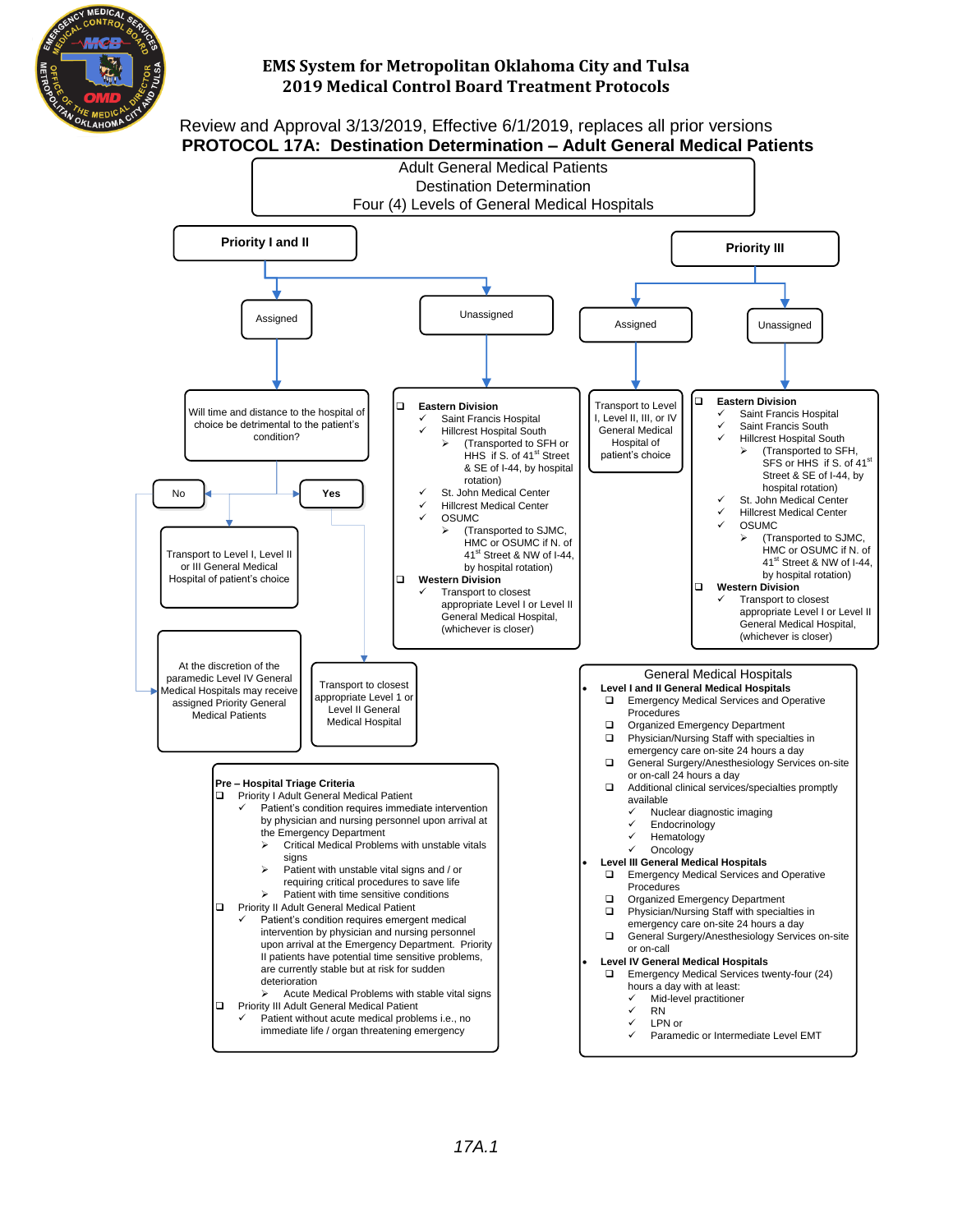

#### Review and Approval 3/13/2019, Effective 6/1/2019, replaces all prior versions **PROTOCOL 17A: Destination Determination – Adult General Medical Patients**

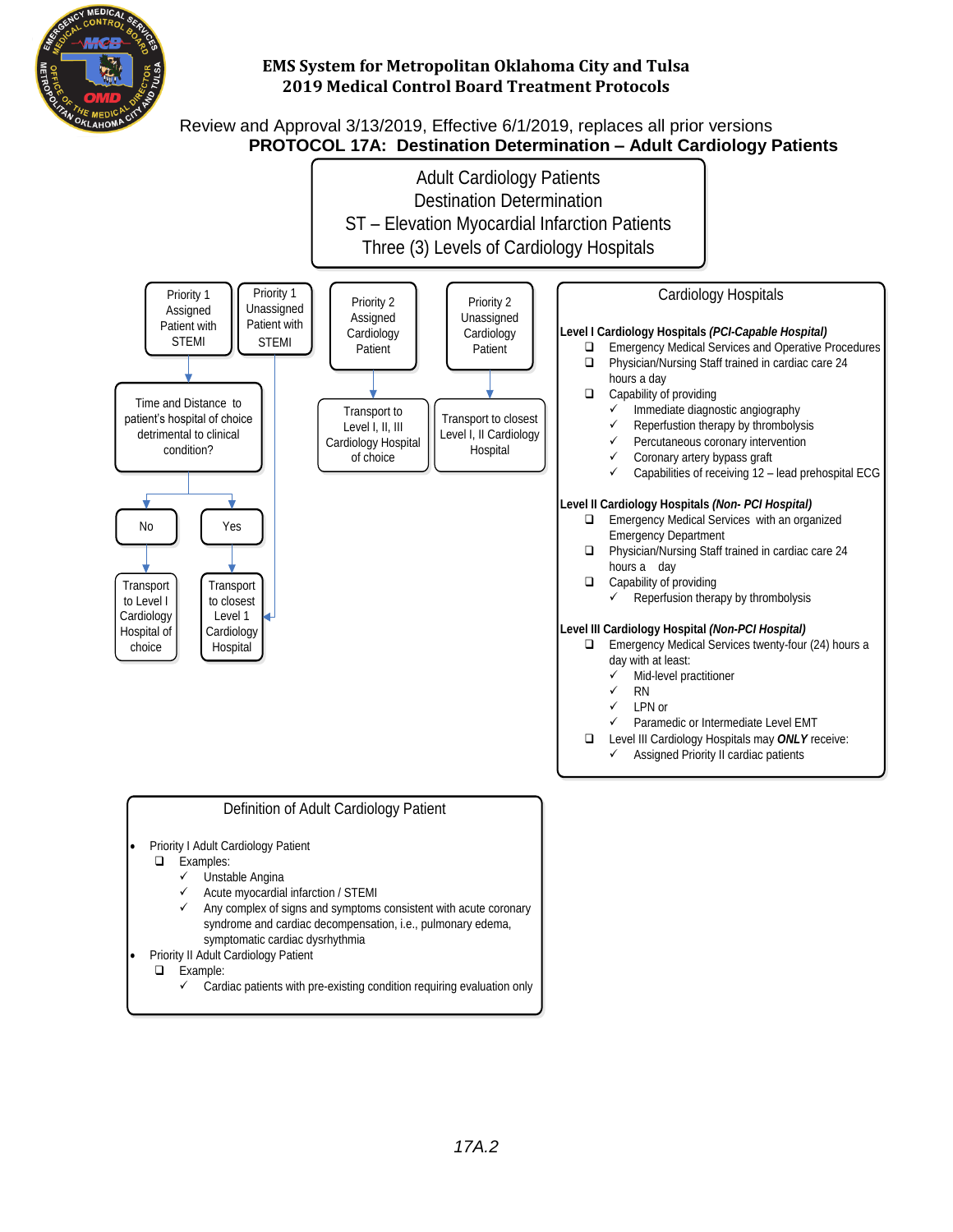

# Review and Approval 3/13/2019, Effective 6/1/2019, replaces all prior versions  **PROTOCOL 17A:****Destination Determination – Adult Cardiology Patients**



- syndrome and cardiac decompensation, i.e., pulmonary edema, symptomatic cardiac dysrhythmia
- Priority II Adult Cardiology Patient
	- **Q** Example:
		- $\checkmark$  Cardiac patients with pre-existing condition requiring evaluation only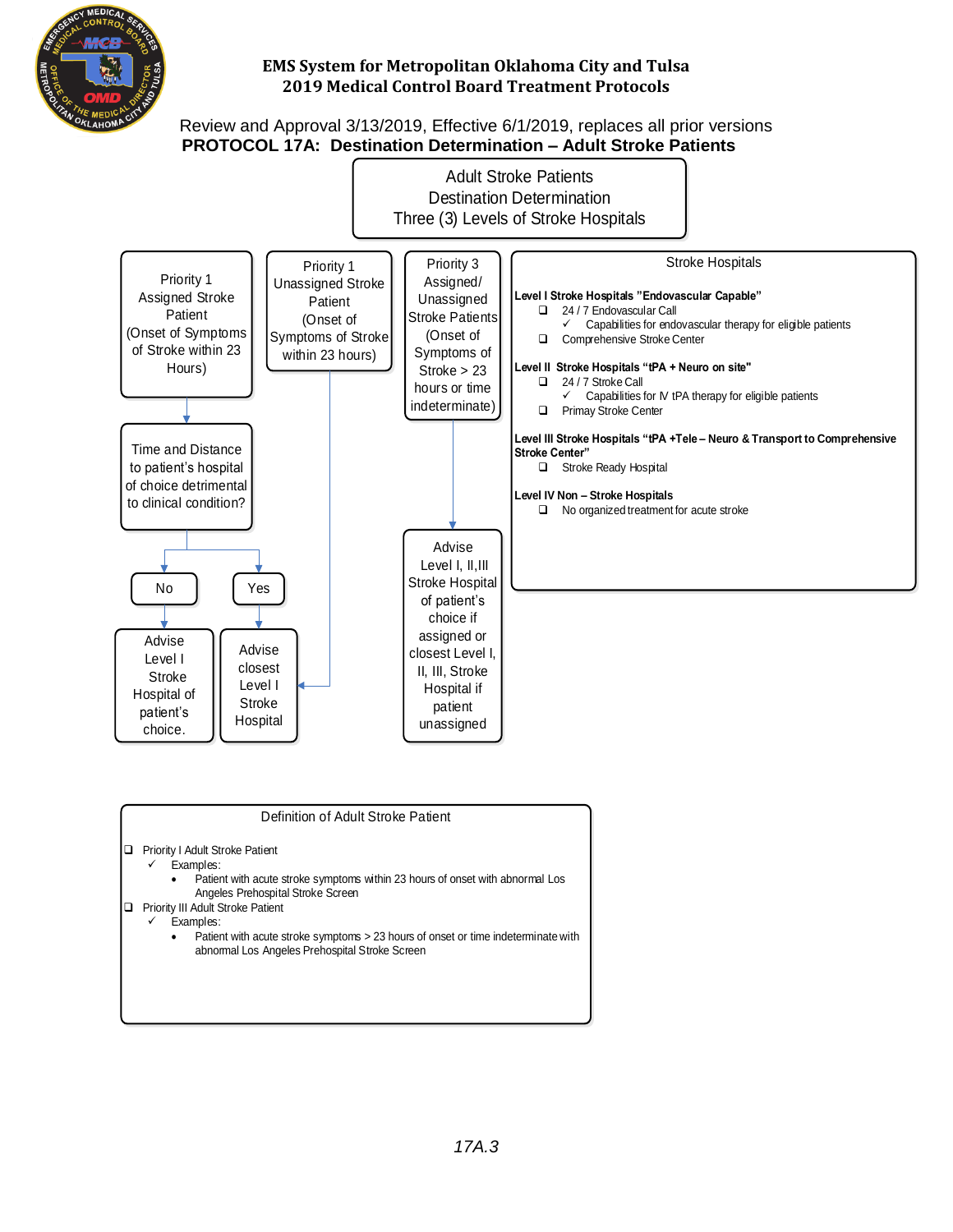

#### Review and Approval 3/13/2019, Effective 6/1/2019, replaces all prior versions **PROTOCOL 17A: Destination Determination – Adult Stroke Patients**



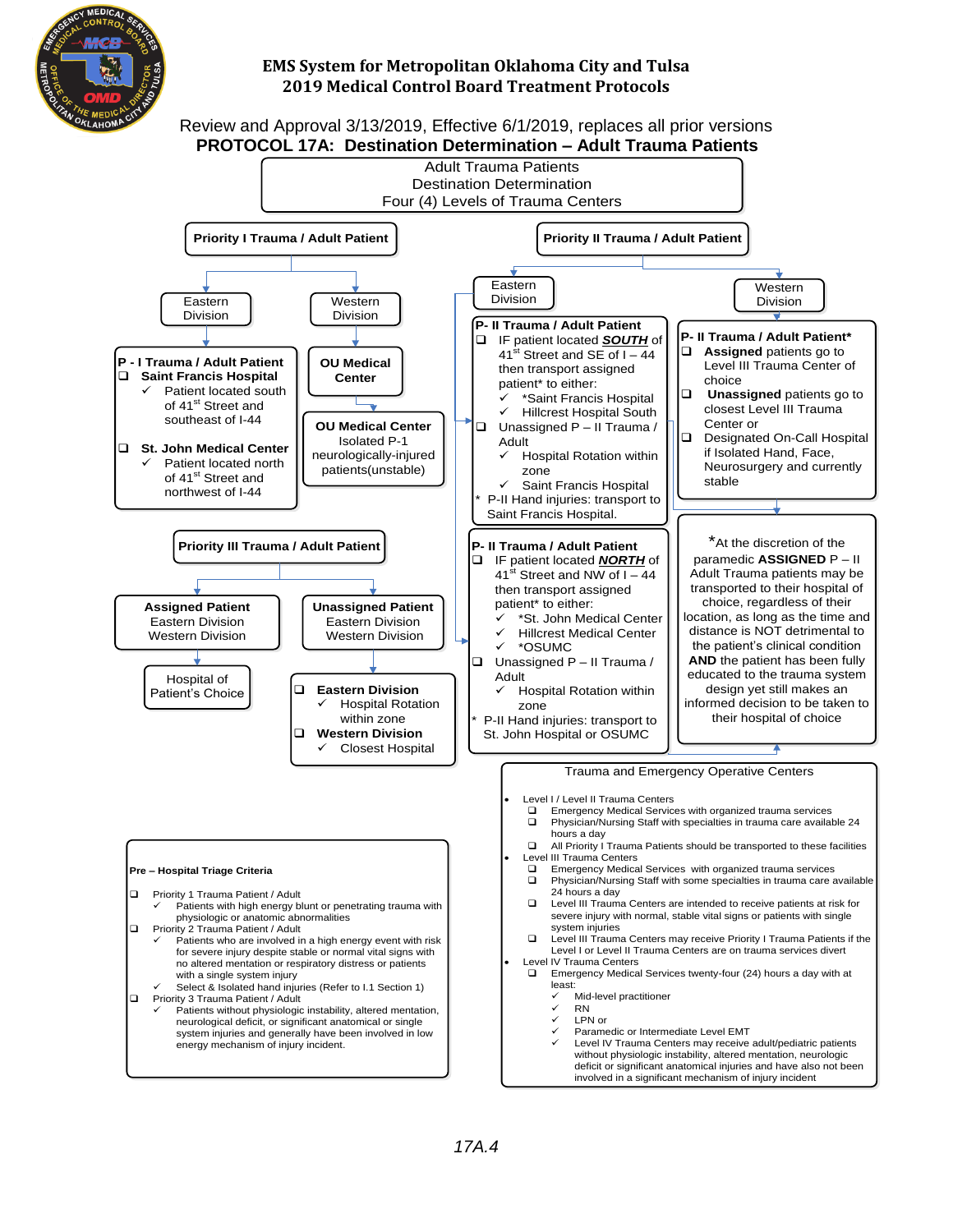





#### **Pre – Hospital Triage Criteria** Priority 1 Trauma Patient / Adult Patients with high energy blunt or penetrating trauma with physiologic or anatomic abnormalities Priority 2 Trauma Patient / Adult ü Patients who are involved in a high energy event with risk for severe injury despite stable or normal vital signs with no altered mentation or respiratory distress or patients with a single system injury Select & Isolated hand injuries (Refer to I.1 Section 1) Priority 3 Trauma Patient / Adult Patients without physiologic instability, altered mentation, neurological deficit, or significant anatomical or single system injuries and generally have been involved in low energy mechanism of injury incident.

**Assigned Patient** Eastern Division Western Division

Hospital of Patient's Choice



Emergency Medical Services with organized trauma services □ Physician/Nursing Staff with some specialties in trauma care available

- □ Level III Trauma Centers may receive Priority I Trauma Patients if the Level I or Level II Trauma Centers are on trauma services divert
- Level IV Trauma Centers
	- □ Emergency Medical Services twenty-four (24) hours a day with at least:
		- Mid-level practitioner
		- ü RN
			- ü LPN or
		- Paramedic or Intermediate Level EMT
		- Level IV Trauma Centers may receive adult/pediatric patients without physiologic instability, altered mentation, neurologic deficit or significant anatomical injuries and have also not been involved in a significant mechanism of injury incident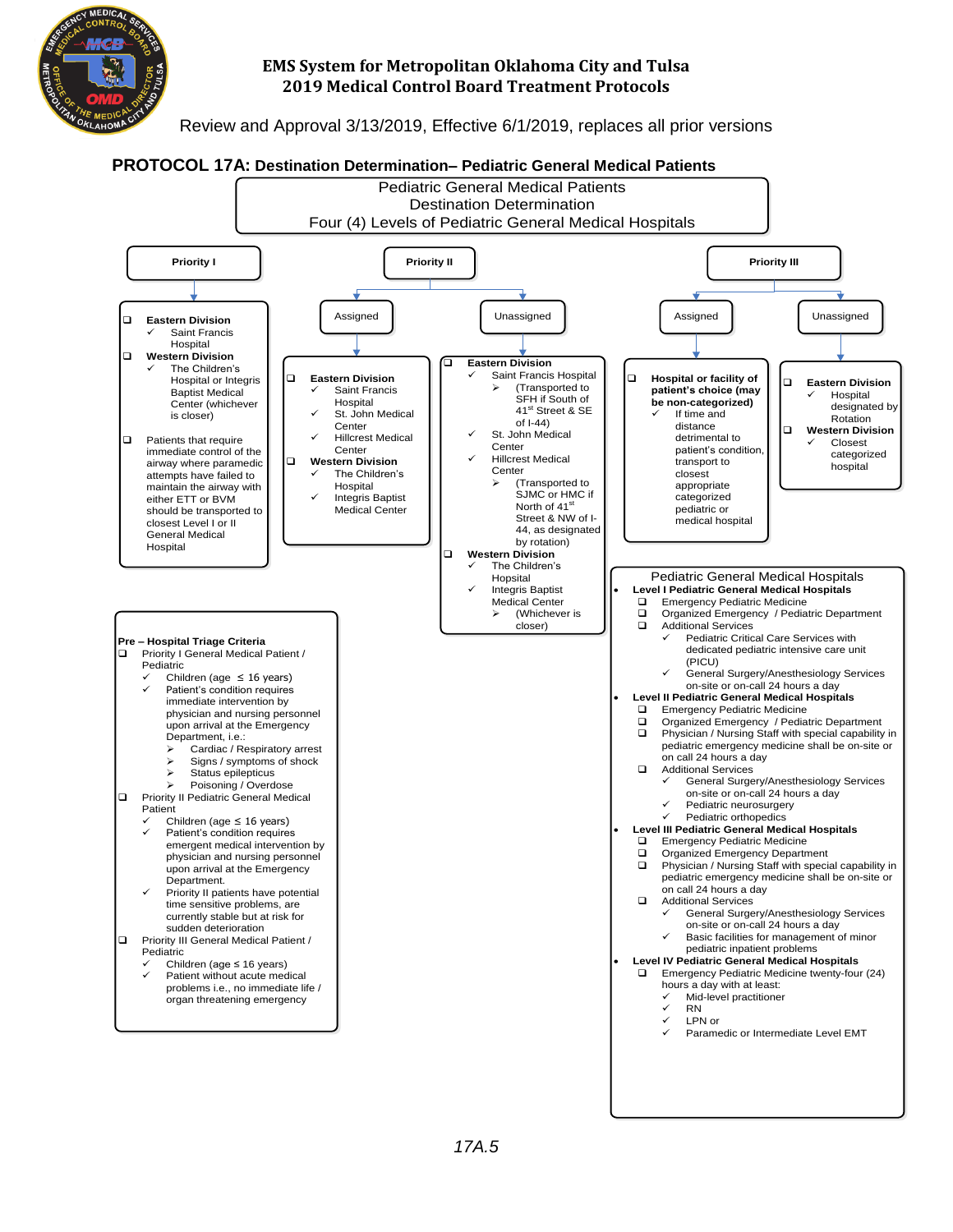

Review and Approval 3/13/2019, Effective 6/1/2019, replaces all prior versions

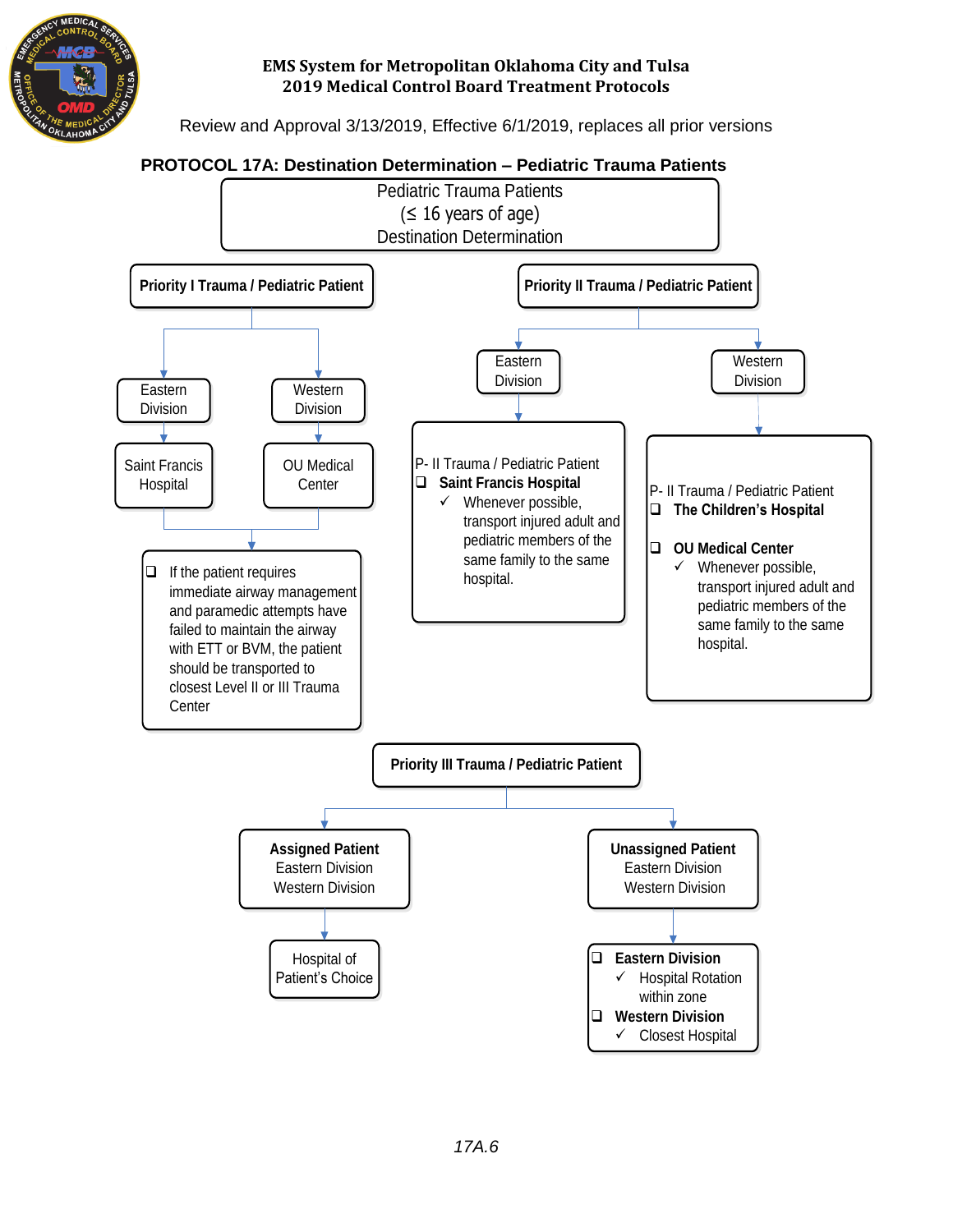

Review and Approval 3/13/2019, Effective 6/1/2019, replaces all prior versions